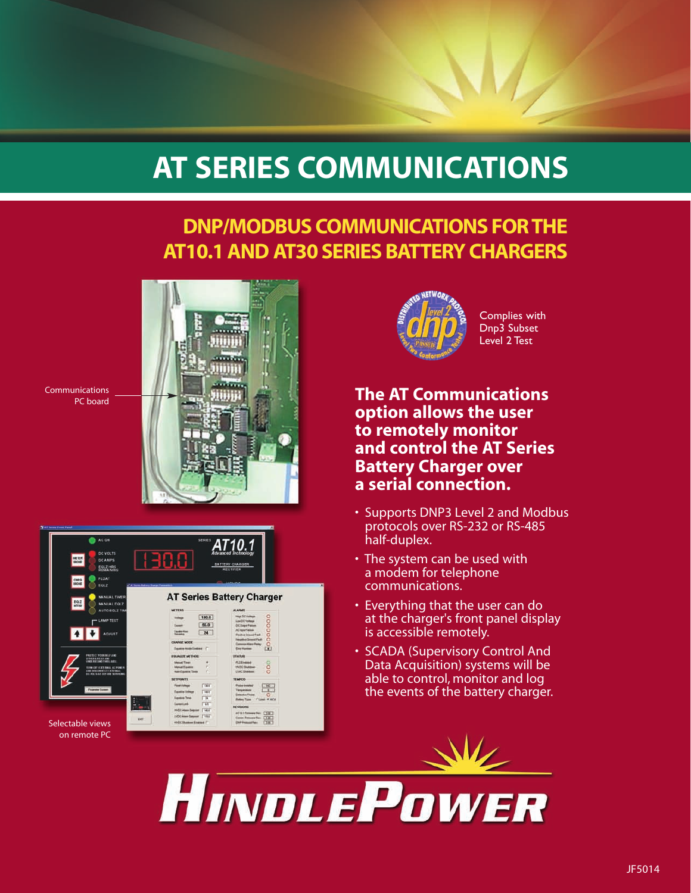# **AT SERIES COMMUNICATIONS**

# **DNP/MODBUS COMMUNICATIONS FOR THE AT10.1 AND AT30 SERIES BATTERY CHARGERS**



Communications PC board





Complies with Dnp3 Subset Level 2 Test

# **The AT Communications option allows the user to remotely monitor and control the AT Series Battery Charger over a serial connection.**

- Supports DNP3 Level 2 and Modbus protocols over RS-232 or RS-485 half-duplex.
- The system can be used with a modem for telephone communications.
- Everything that the user can do at the charger's front panel display is accessible remotely.
- SCADA (Supervisory Control And Data Acquisition) systems will be able to control, monitor and log the events of the battery charger.

HINDLEPOWER